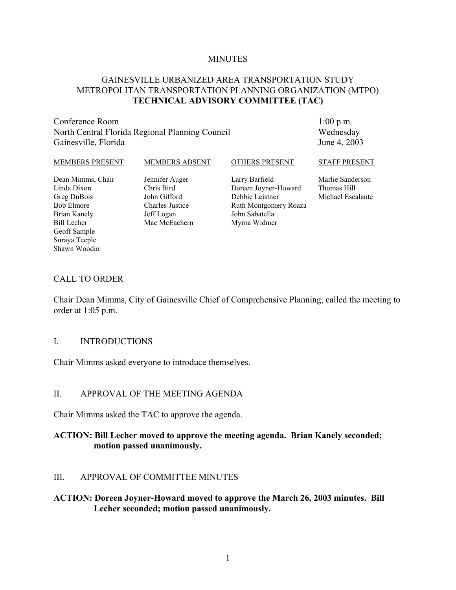#### **MINUTES**

#### GAINESVILLE URBANIZED AREA TRANSPORTATION STUDY METROPOLITAN TRANSPORTATION PLANNING ORGANIZATION (MTPO) **TECHNICAL ADVISORY COMMITTEE (TAC)**

Conference Room North Central Florida Regional Planning Council Gainesville, Florida

1:00 p.m. Wednesday June 4, 2003

| MEMBERS PRESENT                                                                                                     | MEMBERS ABSENT                                                                                        | <b>OTHERS PRESENT</b>                                                                                                | <b>STAFF PRESENT</b>                                 |
|---------------------------------------------------------------------------------------------------------------------|-------------------------------------------------------------------------------------------------------|----------------------------------------------------------------------------------------------------------------------|------------------------------------------------------|
| Dean Mimms, Chair<br>Linda Dixon<br>Greg DuBois<br><b>Bob Elmore</b><br>Brian Kanely<br>Bill Lecher<br>Geoff Sample | Jennifer Auger<br>Chris Bird<br>John Gifford<br><b>Charles Justice</b><br>Jeff Logan<br>Mac McEachern | Larry Barfield<br>Doreen Joyner-Howard<br>Debbie Leistner<br>Ruth Montgomery Roaza<br>John Sabatella<br>Myrna Widmer | Marlie Sanderson<br>Thomas Hill<br>Michael Escalante |
| Suraya Teeple                                                                                                       |                                                                                                       |                                                                                                                      |                                                      |

#### CALL TO ORDER

Shawn Woodin

Chair Dean Mimms, City of Gainesville Chief of Comprehensive Planning, called the meeting to order at 1:05 p.m.

#### I. INTRODUCTIONS

Chair Mimms asked everyone to introduce themselves.

#### II. APPROVAL OF THE MEETING AGENDA

Chair Mimms asked the TAC to approve the agenda.

#### **ACTION: Bill Lecher moved to approve the meeting agenda. Brian Kanely seconded; motion passed unanimously.**

#### III. APPROVAL OF COMMITTEE MINUTES

#### **ACTION: Doreen Joyner-Howard moved to approve the March 26, 2003 minutes. Bill Lecher seconded; motion passed unanimously.**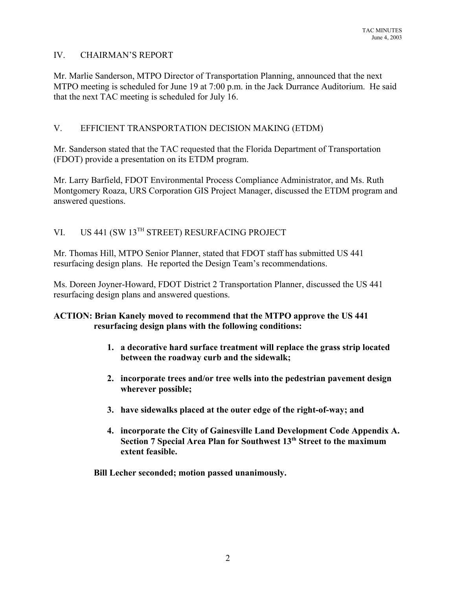# IV. CHAIRMAN'S REPORT

Mr. Marlie Sanderson, MTPO Director of Transportation Planning, announced that the next MTPO meeting is scheduled for June 19 at 7:00 p.m. in the Jack Durrance Auditorium. He said that the next TAC meeting is scheduled for July 16.

### V. EFFICIENT TRANSPORTATION DECISION MAKING (ETDM)

Mr. Sanderson stated that the TAC requested that the Florida Department of Transportation (FDOT) provide a presentation on its ETDM program.

Mr. Larry Barfield, FDOT Environmental Process Compliance Administrator, and Ms. Ruth Montgomery Roaza, URS Corporation GIS Project Manager, discussed the ETDM program and answered questions.

# VI. US 441 (SW 13<sup>TH</sup> STREET) RESURFACING PROJECT

Mr. Thomas Hill, MTPO Senior Planner, stated that FDOT staff has submitted US 441 resurfacing design plans. He reported the Design Team's recommendations.

Ms. Doreen Joyner-Howard, FDOT District 2 Transportation Planner, discussed the US 441 resurfacing design plans and answered questions.

## **ACTION: Brian Kanely moved to recommend that the MTPO approve the US 441 resurfacing design plans with the following conditions:**

- **1. a decorative hard surface treatment will replace the grass strip located between the roadway curb and the sidewalk;**
- **2. incorporate trees and/or tree wells into the pedestrian pavement design wherever possible;**
- **3. have sidewalks placed at the outer edge of the right-of-way; and**
- **4. incorporate the City of Gainesville Land Development Code Appendix A. Section 7 Special Area Plan for Southwest 13th Street to the maximum extent feasible.**

**Bill Lecher seconded; motion passed unanimously.**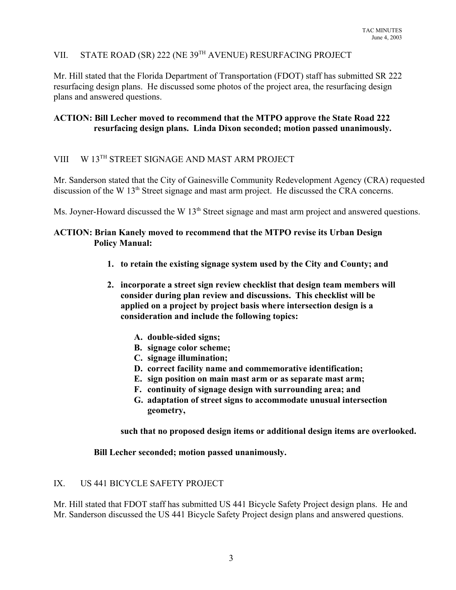# VII. STATE ROAD (SR) 222 (NE 39TH AVENUE) RESURFACING PROJECT

Mr. Hill stated that the Florida Department of Transportation (FDOT) staff has submitted SR 222 resurfacing design plans. He discussed some photos of the project area, the resurfacing design plans and answered questions.

## **ACTION: Bill Lecher moved to recommend that the MTPO approve the State Road 222 resurfacing design plans. Linda Dixon seconded; motion passed unanimously.**

# VIII W 13TH STREET SIGNAGE AND MAST ARM PROJECT

Mr. Sanderson stated that the City of Gainesville Community Redevelopment Agency (CRA) requested discussion of the W 13<sup>th</sup> Street signage and mast arm project. He discussed the CRA concerns.

Ms. Joyner-Howard discussed the W 13<sup>th</sup> Street signage and mast arm project and answered questions.

### **ACTION: Brian Kanely moved to recommend that the MTPO revise its Urban Design Policy Manual:**

- **1. to retain the existing signage system used by the City and County; and**
- **2. incorporate a street sign review checklist that design team members will consider during plan review and discussions. This checklist will be applied on a project by project basis where intersection design is a consideration and include the following topics:** 
	- **A. double-sided signs;**
	- **B. signage color scheme;**
	- **C. signage illumination;**
	- **D. correct facility name and commemorative identification;**
	- **E. sign position on main mast arm or as separate mast arm;**
	- **F. continuity of signage design with surrounding area; and**
	- **G. adaptation of street signs to accommodate unusual intersection geometry,**

**such that no proposed design items or additional design items are overlooked.** 

#### **Bill Lecher seconded; motion passed unanimously.**

### IX. US 441 BICYCLE SAFETY PROJECT

Mr. Hill stated that FDOT staff has submitted US 441 Bicycle Safety Project design plans. He and Mr. Sanderson discussed the US 441 Bicycle Safety Project design plans and answered questions.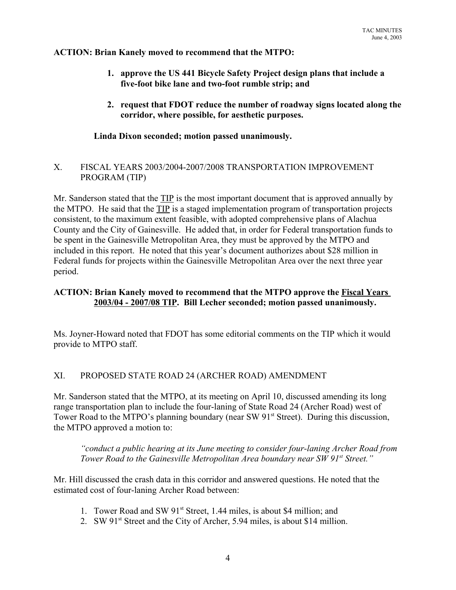## **ACTION: Brian Kanely moved to recommend that the MTPO:**

- **1. approve the US 441 Bicycle Safety Project design plans that include a five-foot bike lane and two-foot rumble strip; and**
- **2. request that FDOT reduce the number of roadway signs located along the corridor, where possible, for aesthetic purposes.**

## **Linda Dixon seconded; motion passed unanimously.**

## X. FISCAL YEARS 2003/2004-2007/2008 TRANSPORTATION IMPROVEMENT PROGRAM (TIP)

Mr. Sanderson stated that the TIP is the most important document that is approved annually by the MTPO. He said that the TIP is a staged implementation program of transportation projects consistent, to the maximum extent feasible, with adopted comprehensive plans of Alachua County and the City of Gainesville. He added that, in order for Federal transportation funds to be spent in the Gainesville Metropolitan Area, they must be approved by the MTPO and included in this report. He noted that this year's document authorizes about \$28 million in Federal funds for projects within the Gainesville Metropolitan Area over the next three year period.

## **ACTION: Brian Kanely moved to recommend that the MTPO approve the Fiscal Years 2003/04 - 2007/08 TIP. Bill Lecher seconded; motion passed unanimously.**

Ms. Joyner-Howard noted that FDOT has some editorial comments on the TIP which it would provide to MTPO staff.

# XI. PROPOSED STATE ROAD 24 (ARCHER ROAD) AMENDMENT

Mr. Sanderson stated that the MTPO, at its meeting on April 10, discussed amending its long range transportation plan to include the four-laning of State Road 24 (Archer Road) west of Tower Road to the MTPO's planning boundary (near SW 91<sup>st</sup> Street). During this discussion, the MTPO approved a motion to:

*"conduct a public hearing at its June meeting to consider four-laning Archer Road from Tower Road to the Gainesville Metropolitan Area boundary near SW 91st Street."*

Mr. Hill discussed the crash data in this corridor and answered questions. He noted that the estimated cost of four-laning Archer Road between:

- 1. Tower Road and SW 91<sup>st</sup> Street, 1.44 miles, is about \$4 million; and
- 2. SW 91<sup>st</sup> Street and the City of Archer, 5.94 miles, is about \$14 million.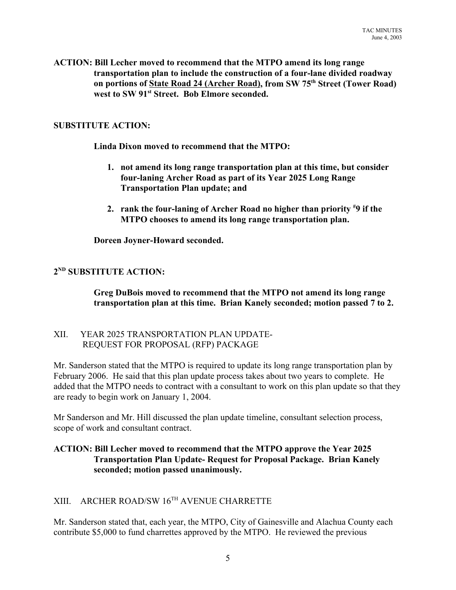**ACTION: Bill Lecher moved to recommend that the MTPO amend its long range transportation plan to include the construction of a four-lane divided roadway on portions of State Road 24 (Archer Road), from SW 75th Street (Tower Road) west to SW 91st Street. Bob Elmore seconded.**

#### **SUBSTITUTE ACTION:**

**Linda Dixon moved to recommend that the MTPO:**

- **1. not amend its long range transportation plan at this time, but consider four-laning Archer Road as part of its Year 2025 Long Range Transportation Plan update; and**
- **2. rank the four-laning of Archer Road no higher than priority # 9 if the MTPO chooses to amend its long range transportation plan.**

**Doreen Joyner-Howard seconded.**

# **2ND SUBSTITUTE ACTION:**

**Greg DuBois moved to recommend that the MTPO not amend its long range transportation plan at this time. Brian Kanely seconded; motion passed 7 to 2.**

#### XII. YEAR 2025 TRANSPORTATION PLAN UPDATE- REQUEST FOR PROPOSAL (RFP) PACKAGE

Mr. Sanderson stated that the MTPO is required to update its long range transportation plan by February 2006. He said that this plan update process takes about two years to complete. He added that the MTPO needs to contract with a consultant to work on this plan update so that they are ready to begin work on January 1, 2004.

Mr Sanderson and Mr. Hill discussed the plan update timeline, consultant selection process, scope of work and consultant contract.

### **ACTION: Bill Lecher moved to recommend that the MTPO approve the Year 2025 Transportation Plan Update- Request for Proposal Package. Brian Kanely seconded; motion passed unanimously.**

# XIII. ARCHER ROAD/SW 16TH AVENUE CHARRETTE

Mr. Sanderson stated that, each year, the MTPO, City of Gainesville and Alachua County each contribute \$5,000 to fund charrettes approved by the MTPO. He reviewed the previous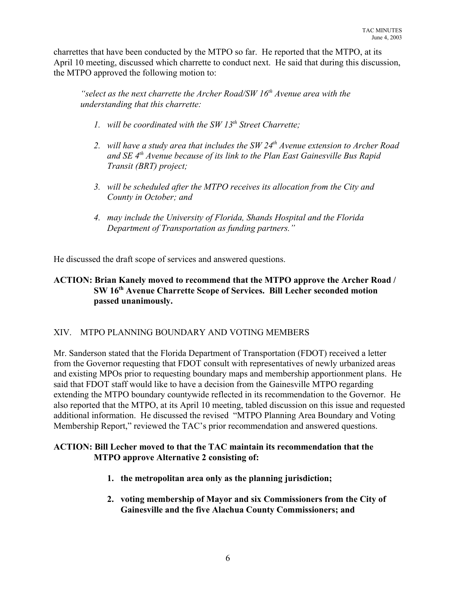charrettes that have been conducted by the MTPO so far. He reported that the MTPO, at its April 10 meeting, discussed which charrette to conduct next. He said that during this discussion, the MTPO approved the following motion to:

*"select as the next charrette the Archer Road/SW 16<sup>th</sup> Avenue area with the understanding that this charrette:*

- *1. will be coordinated with the SW 13th Street Charrette;*
- *2. will have a study area that includes the SW 24th Avenue extension to Archer Road and SE 4th Avenue because of its link to the Plan East Gainesville Bus Rapid Transit (BRT) project;*
- *3. will be scheduled after the MTPO receives its allocation from the City and County in October; and*
- *4. may include the University of Florida, Shands Hospital and the Florida Department of Transportation as funding partners."*

He discussed the draft scope of services and answered questions.

## **ACTION: Brian Kanely moved to recommend that the MTPO approve the Archer Road / SW 16th Avenue Charrette Scope of Services. Bill Lecher seconded motion passed unanimously.**

# XIV. MTPO PLANNING BOUNDARY AND VOTING MEMBERS

Mr. Sanderson stated that the Florida Department of Transportation (FDOT) received a letter from the Governor requesting that FDOT consult with representatives of newly urbanized areas and existing MPOs prior to requesting boundary maps and membership apportionment plans. He said that FDOT staff would like to have a decision from the Gainesville MTPO regarding extending the MTPO boundary countywide reflected in its recommendation to the Governor. He also reported that the MTPO, at its April 10 meeting, tabled discussion on this issue and requested additional information. He discussed the revised "MTPO Planning Area Boundary and Voting Membership Report," reviewed the TAC's prior recommendation and answered questions.

## **ACTION: Bill Lecher moved to that the TAC maintain its recommendation that the MTPO approve Alternative 2 consisting of:**

- **1. the metropolitan area only as the planning jurisdiction;**
- **2. voting membership of Mayor and six Commissioners from the City of Gainesville and the five Alachua County Commissioners; and**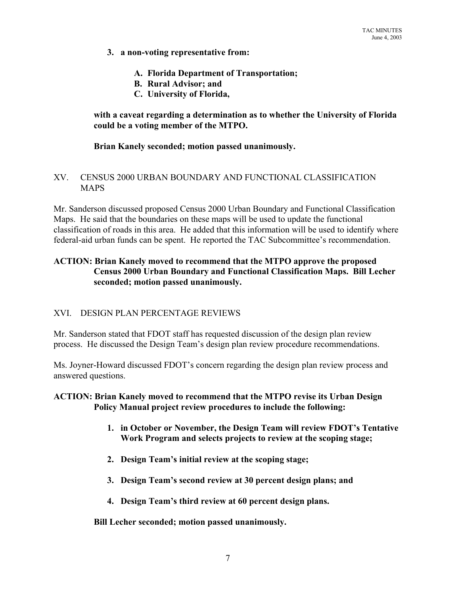- **3. a non-voting representative from:**
	- **A. Florida Department of Transportation;**
	- **B. Rural Advisor; and**
	- **C. University of Florida,**

**with a caveat regarding a determination as to whether the University of Florida could be a voting member of the MTPO.** 

#### **Brian Kanely seconded; motion passed unanimously.**

#### XV. CENSUS 2000 URBAN BOUNDARY AND FUNCTIONAL CLASSIFICATION MAPS

Mr. Sanderson discussed proposed Census 2000 Urban Boundary and Functional Classification Maps. He said that the boundaries on these maps will be used to update the functional classification of roads in this area. He added that this information will be used to identify where federal-aid urban funds can be spent. He reported the TAC Subcommittee's recommendation.

## **ACTION: Brian Kanely moved to recommend that the MTPO approve the proposed Census 2000 Urban Boundary and Functional Classification Maps. Bill Lecher seconded; motion passed unanimously.**

### XVI. DESIGN PLAN PERCENTAGE REVIEWS

Mr. Sanderson stated that FDOT staff has requested discussion of the design plan review process. He discussed the Design Team's design plan review procedure recommendations.

Ms. Joyner-Howard discussed FDOT's concern regarding the design plan review process and answered questions.

## **ACTION: Brian Kanely moved to recommend that the MTPO revise its Urban Design Policy Manual project review procedures to include the following:**

- **1. in October or November, the Design Team will review FDOT's Tentative Work Program and selects projects to review at the scoping stage;**
- **2. Design Team's initial review at the scoping stage;**
- **3. Design Team's second review at 30 percent design plans; and**
- **4. Design Team's third review at 60 percent design plans.**

**Bill Lecher seconded; motion passed unanimously.**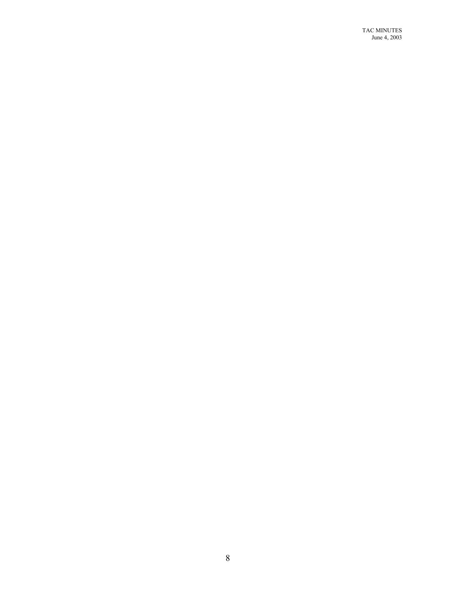TAC MINUTES June 4, 2003